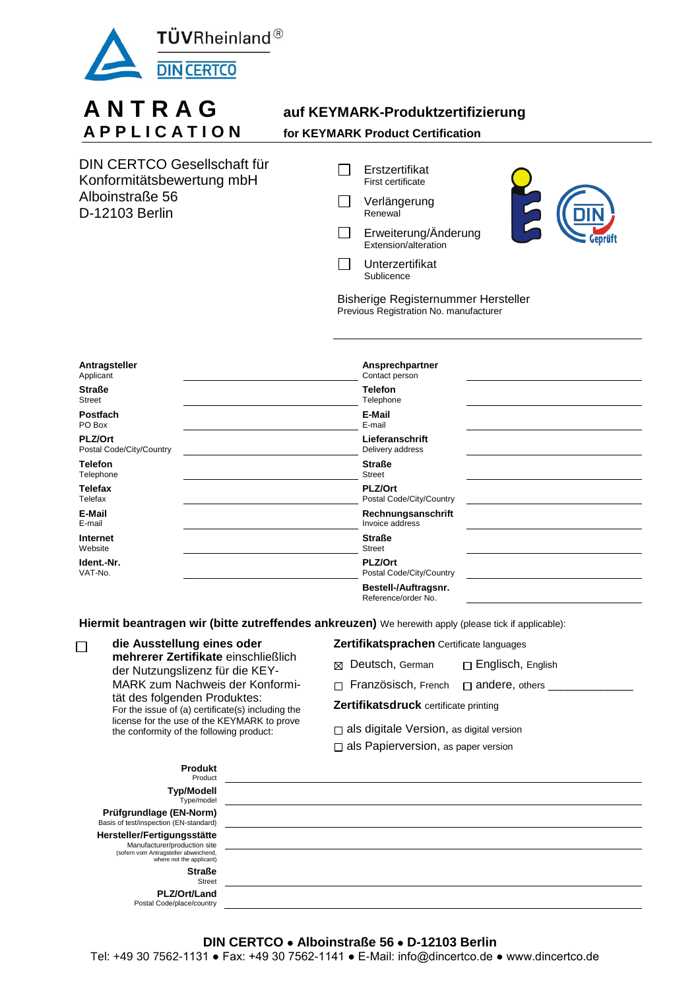

## **A N T R A G auf KEYMARK-Produktzertifizierung A P P L I C A T I O N for KEYMARK Product Certification**

| DIN CERTCO Gesellschaft für |
|-----------------------------|
| Konformitätsbewertung mbH   |
| Alboinstraße 56             |
| D-12103 Berlin              |

- $\Box$ Erstzertifikat First certificate
- $\Box$ Verlängerung **Renewal**
- $\Box$ Erweiterung/Änderung Extension/alteration



 $\Box$ Unterzertifikat Sublicence

Bisherige Registernummer Hersteller Previous Registration No. manufacturer

| Antragsteller<br>Applicant                 | Ansprechpartner<br>Contact person           |  |
|--------------------------------------------|---------------------------------------------|--|
| <b>Straße</b><br><b>Street</b>             | <b>Telefon</b><br>Telephone                 |  |
| <b>Postfach</b><br>PO Box                  | E-Mail<br>E-mail                            |  |
| <b>PLZ/Ort</b><br>Postal Code/City/Country | Lieferanschrift<br>Delivery address         |  |
| <b>Telefon</b><br>Telephone                | <b>Straße</b><br>Street                     |  |
| <b>Telefax</b><br>Telefax                  | <b>PLZ/Ort</b><br>Postal Code/City/Country  |  |
| E-Mail<br>E-mail                           | Rechnungsanschrift<br>Invoice address       |  |
| Internet<br>Website                        | <b>Straße</b><br><b>Street</b>              |  |
| Ident.-Nr.<br>VAT-No.                      | <b>PLZ/Ort</b><br>Postal Code/City/Country  |  |
|                                            | Bestell-/Auftragsnr.<br>Reference/order No. |  |

**Hiermit beantragen wir (bitte zutreffendes ankreuzen)** We herewith apply (please tick if applicable):

| die Ausstellung eines oder<br>$\Box$<br>mehrerer Zertifikate einschließlich<br>der Nutzungslizenz für die KEY-<br>tät des folgenden Produktes:<br>license for the use of the KEYMARK to prove |                                                   | Zertifikatsprachen Certificate languages        |                       |  |  |
|-----------------------------------------------------------------------------------------------------------------------------------------------------------------------------------------------|---------------------------------------------------|-------------------------------------------------|-----------------------|--|--|
|                                                                                                                                                                                               |                                                   | ⊠ Deutsch, German                               | □ Englisch, English   |  |  |
|                                                                                                                                                                                               | MARK zum Nachweis der Konformi-                   | $\Box$ Französisch, French                      | $\Box$ andere, others |  |  |
|                                                                                                                                                                                               | For the issue of (a) certificate(s) including the | Zertifikatsdruck certificate printing           |                       |  |  |
|                                                                                                                                                                                               | the conformity of the following product:          | $\Box$ als digitale Version, as digital version |                       |  |  |
|                                                                                                                                                                                               |                                                   | $\Box$ als Papierversion, as paper version      |                       |  |  |
|                                                                                                                                                                                               | <b>Produkt</b><br><b>Product</b>                  |                                                 |                       |  |  |

| <b>FIUUUNL</b><br>Product                                                                                                        |  |
|----------------------------------------------------------------------------------------------------------------------------------|--|
| <b>Typ/Modell</b><br>Type/model                                                                                                  |  |
| Prüfgrundlage (EN-Norm)<br>Basis of test/inspection (EN-standard)                                                                |  |
| Hersteller/Fertigungsstätte<br>Manufacturer/production site<br>(sofern vom Antragsteller abweichend,<br>where not the applicant) |  |
| <b>Straße</b><br><b>Street</b>                                                                                                   |  |
| PLZ/Ort/Land<br>Postal Code/place/country                                                                                        |  |

## **DIN CERTCO Alboinstraße 56 D-12103 Berlin**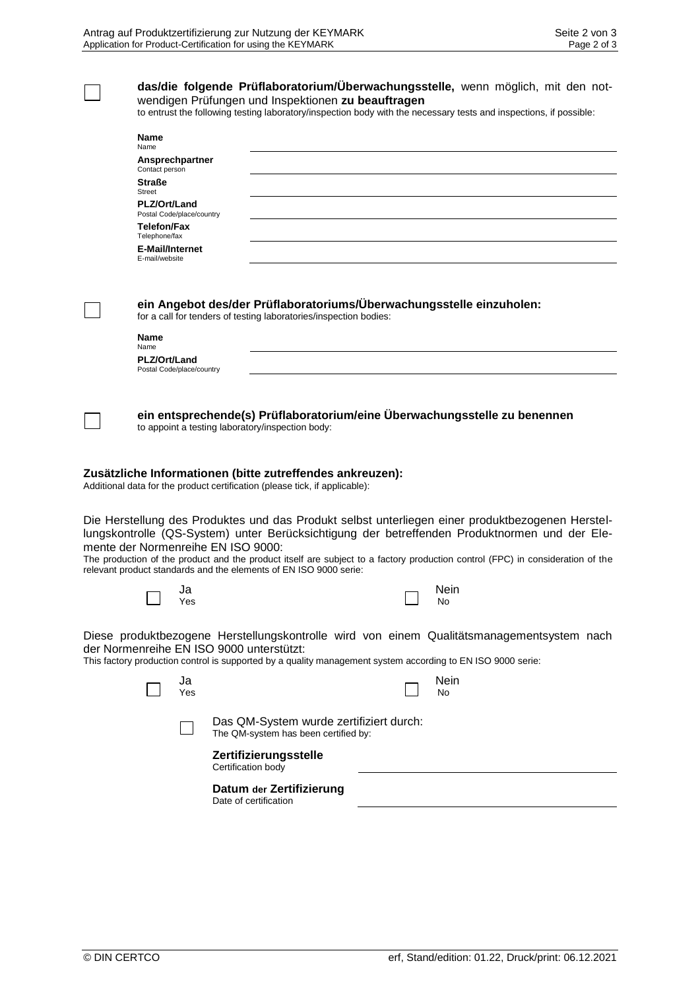| das/die folgende Prüflaboratorium/Überwachungsstelle, wenn möglich, mit den not-<br>wendigen Prüfungen und Inspektionen zu beauftragen<br>to entrust the following testing laboratory/inspection body with the necessary tests and inspections, if possible: |           |                                                                                                                                                         |                                                                                                                                                                                                                                                                                                                                     |
|--------------------------------------------------------------------------------------------------------------------------------------------------------------------------------------------------------------------------------------------------------------|-----------|---------------------------------------------------------------------------------------------------------------------------------------------------------|-------------------------------------------------------------------------------------------------------------------------------------------------------------------------------------------------------------------------------------------------------------------------------------------------------------------------------------|
| Name<br>Name<br>Ansprechpartner<br>Contact person<br><b>Straße</b><br><b>Street</b><br>PLZ/Ort/Land<br>Postal Code/place/country<br><b>Telefon/Fax</b><br>Telephone/fax<br>E-Mail/Internet<br>E-mail/website                                                 |           |                                                                                                                                                         |                                                                                                                                                                                                                                                                                                                                     |
| <b>Name</b>                                                                                                                                                                                                                                                  |           | ein Angebot des/der Prüflaboratoriums/Überwachungsstelle einzuholen:<br>for a call for tenders of testing laboratories/inspection bodies:               |                                                                                                                                                                                                                                                                                                                                     |
| Name<br>PLZ/Ort/Land<br>Postal Code/place/country                                                                                                                                                                                                            |           |                                                                                                                                                         |                                                                                                                                                                                                                                                                                                                                     |
|                                                                                                                                                                                                                                                              |           | ein entsprechende(s) Prüflaboratorium/eine Überwachungsstelle zu benennen<br>to appoint a testing laboratory/inspection body:                           |                                                                                                                                                                                                                                                                                                                                     |
|                                                                                                                                                                                                                                                              |           | Zusätzliche Informationen (bitte zutreffendes ankreuzen):<br>Additional data for the product certification (please tick, if applicable):                |                                                                                                                                                                                                                                                                                                                                     |
|                                                                                                                                                                                                                                                              |           | mente der Normenreihe EN ISO 9000:<br>relevant product standards and the elements of EN ISO 9000 serie:                                                 | Die Herstellung des Produktes und das Produkt selbst unterliegen einer produktbezogenen Herstel-<br>lungskontrolle (QS-System) unter Berücksichtigung der betreffenden Produktnormen und der Ele-<br>The production of the product and the product itself are subject to a factory production control (FPC) in consideration of the |
|                                                                                                                                                                                                                                                              | Ja<br>Yes |                                                                                                                                                         | Nein<br><b>NO</b>                                                                                                                                                                                                                                                                                                                   |
|                                                                                                                                                                                                                                                              |           | der Normenreihe EN ISO 9000 unterstützt:<br>This factory production control is supported by a quality management system according to EN ISO 9000 serie: | Diese produktbezogene Herstellungskontrolle wird von einem Qualitätsmanagementsystem nach                                                                                                                                                                                                                                           |
|                                                                                                                                                                                                                                                              | Ja<br>Yes |                                                                                                                                                         | Nein<br>No                                                                                                                                                                                                                                                                                                                          |
|                                                                                                                                                                                                                                                              |           | Das QM-System wurde zertifiziert durch:<br>The QM-system has been certified by:                                                                         |                                                                                                                                                                                                                                                                                                                                     |
|                                                                                                                                                                                                                                                              |           | Zertifizierungsstelle<br>Certification body                                                                                                             |                                                                                                                                                                                                                                                                                                                                     |
|                                                                                                                                                                                                                                                              |           | Datum der Zertifizierung<br>Date of certification                                                                                                       |                                                                                                                                                                                                                                                                                                                                     |
|                                                                                                                                                                                                                                                              |           |                                                                                                                                                         |                                                                                                                                                                                                                                                                                                                                     |